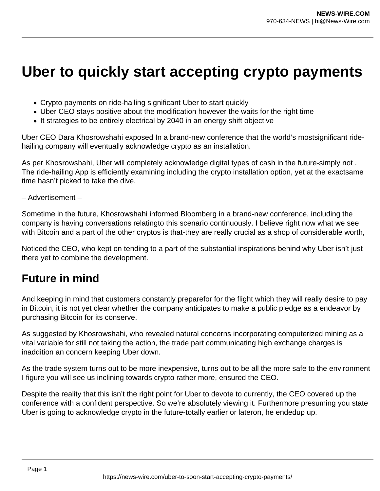## **Uber to quickly start accepting crypto payments**

- Crypto payments on ride-hailing significant Uber to start quickly
- Uber CEO stays positive about the modification however the waits for the right time
- It strategies to be entirely electrical by 2040 in an energy shift objective

Uber CEO Dara Khosrowshahi exposed In a brand-new conference that the world's mostsignificant ridehailing company will eventually acknowledge crypto as an installation.

As per Khosrowshahi, Uber will completely acknowledge digital types of cash in the future-simply not . The ride-hailing App is efficiently examining including the crypto installation option, yet at the exactsame time hasn't picked to take the dive.

## – Advertisement –

Sometime in the future, Khosrowshahi informed Bloomberg in a brand-new conference, including the company is having conversations relatingto this scenario continuously. I believe right now what we see with Bitcoin and a part of the other cryptos is that-they are really crucial as a shop of considerable worth,

Noticed the CEO, who kept on tending to a part of the substantial inspirations behind why Uber isn't just there yet to combine the development.

## **Future in mind**

And keeping in mind that customers constantly preparefor for the flight which they will really desire to pay in Bitcoin, it is not yet clear whether the company anticipates to make a public pledge as a endeavor by purchasing Bitcoin for its conserve.

As suggested by Khosrowshahi, who revealed natural concerns incorporating computerized mining as a vital variable for still not taking the action, the trade part communicating high exchange charges is inaddition an concern keeping Uber down.

As the trade system turns out to be more inexpensive, turns out to be all the more safe to the environment I figure you will see us inclining towards crypto rather more, ensured the CEO.

Despite the reality that this isn't the right point for Uber to devote to currently, the CEO covered up the conference with a confident perspective. So we're absolutely viewing it. Furthermore presuming you state Uber is going to acknowledge crypto in the future-totally earlier or lateron, he endedup up.